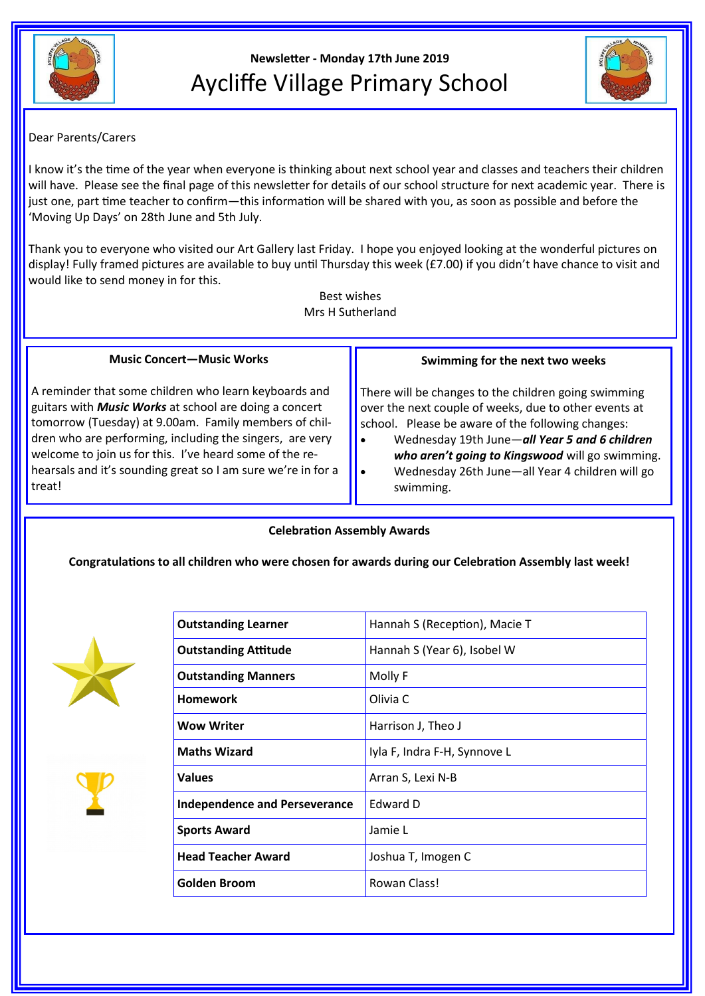

# **Newsletter - Monday 17th June 2019** Aycliffe Village Primary School



## Dear Parents/Carers

I know it's the time of the year when everyone is thinking about next school year and classes and teachers their children will have. Please see the final page of this newsletter for details of our school structure for next academic year. There is just one, part time teacher to confirm—this information will be shared with you, as soon as possible and before the 'Moving Up Days' on 28th June and 5th July.

Thank you to everyone who visited our Art Gallery last Friday. I hope you enjoyed looking at the wonderful pictures on display! Fully framed pictures are available to buy until Thursday this week (£7.00) if you didn't have chance to visit and would like to send money in for this.

> Best wishes Mrs H Sutherland

#### **Music Concert—Music Works**

A reminder that some children who learn keyboards and guitars with *Music Works* at school are doing a concert tomorrow (Tuesday) at 9.00am. Family members of children who are performing, including the singers, are very welcome to join us for this. I've heard some of the rehearsals and it's sounding great so I am sure we're in for a treat!

#### **Swimming for the next two weeks**

There will be changes to the children going swimming over the next couple of weeks, due to other events at school. Please be aware of the following changes:

- Wednesday 19th June—*all Year 5 and 6 children who aren't going to Kingswood* will go swimming.
	- Wednesday 26th June—all Year 4 children will go swimming.

#### **Celebration Assembly Awards**

### **Congratulations to all children who were chosen for awards during our Celebration Assembly last week!**





| <b>Outstanding Learner</b>           | Hannah S (Reception), Macie T |
|--------------------------------------|-------------------------------|
| <b>Outstanding Attitude</b>          | Hannah S (Year 6), Isobel W   |
| <b>Outstanding Manners</b>           | Molly F                       |
| <b>Homework</b>                      | Olivia C                      |
| <b>Wow Writer</b>                    | Harrison J, Theo J            |
| <b>Maths Wizard</b>                  | Iyla F, Indra F-H, Synnove L  |
| <b>Values</b>                        | Arran S, Lexi N-B             |
| <b>Independence and Perseverance</b> | <b>Edward D</b>               |
| <b>Sports Award</b>                  | Jamie L                       |
| <b>Head Teacher Award</b>            | Joshua T, Imogen C            |
| Golden Broom                         | Rowan Class!                  |
|                                      |                               |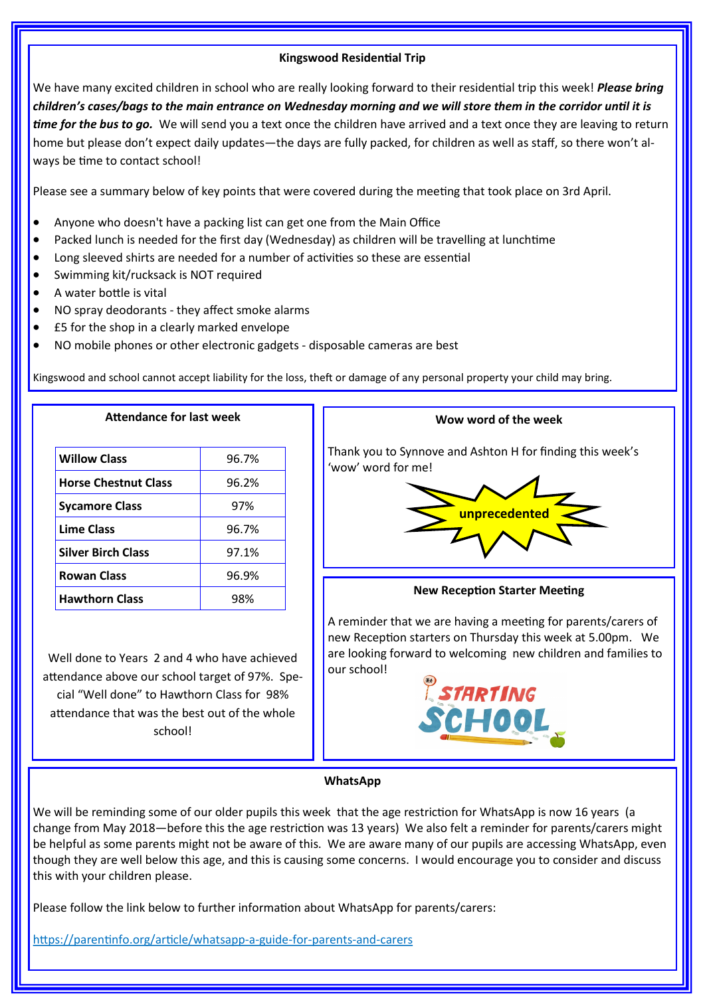#### **Kingswood Residential Trip**

We have many excited children in school who are really looking forward to their residential trip this week! *Please bring children's cases/bags to the main entrance on Wednesday morning and we will store them in the corridor until it is time for the bus to go.* We will send you a text once the children have arrived and a text once they are leaving to return home but please don't expect daily updates—the days are fully packed, for children as well as staff, so there won't always be time to contact school!

Please see a summary below of key points that were covered during the meeting that took place on 3rd April.

- Anyone who doesn't have a packing list can get one from the Main Office
- Packed lunch is needed for the first day (Wednesday) as children will be travelling at lunchtime
- Long sleeved shirts are needed for a number of activities so these are essential
- Swimming kit/rucksack is NOT required
- A water bottle is vital
- NO spray deodorants they affect smoke alarms

**Attendance for last week**

- £5 for the shop in a clearly marked envelope
- NO mobile phones or other electronic gadgets disposable cameras are best

Kingswood and school cannot accept liability for the loss, theft or damage of any personal property your child may bring.

| <b>Willow Class</b>         | 96.7% |
|-----------------------------|-------|
| <b>Horse Chestnut Class</b> | 96.2% |
| <b>Sycamore Class</b>       | 97%   |
| <b>Lime Class</b>           | 96.7% |
| <b>Silver Birch Class</b>   | 97.1% |
| <b>Rowan Class</b>          | 96.9% |
| <b>Hawthorn Class</b>       | 98%   |

Well done to Years 2 and 4 who have achieved attendance above our school target of 97%. Special "Well done" to Hawthorn Class for 98% attendance that was the best out of the whole school!



#### **WhatsApp**

We will be reminding some of our older pupils this week that the age restriction for WhatsApp is now 16 years (a change from May 2018—before this the age restriction was 13 years) We also felt a reminder for parents/carers might be helpful as some parents might not be aware of this. We are aware many of our pupils are accessing WhatsApp, even though they are well below this age, and this is causing some concerns. I would encourage you to consider and discuss this with your children please.

Please follow the link below to further information about WhatsApp for parents/carers:

https://parentinfo.org/article/whatsapp-a-guide-for-parents-and-carers